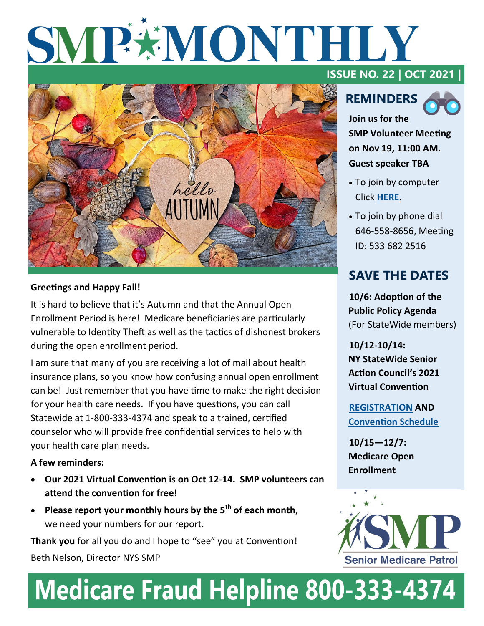# SMP#MONTHLY



## **Greetings and Happy Fall!**

It is hard to believe that it's Autumn and that the Annual Open Enrollment Period is here! Medicare beneficiaries are particularly vulnerable to Identity Theft as well as the tactics of dishonest brokers during the open enrollment period.

I am sure that many of you are receiving a lot of mail about health insurance plans, so you know how confusing annual open enrollment can be! Just remember that you have time to make the right decision for your health care needs. If you have questions, you can call Statewide at 1-800-333-4374 and speak to a trained, certified counselor who will provide free confidential services to help with your health care plan needs.

## **A few reminders:**

- **Our 2021 Virtual Convention is on Oct 12-14. SMP volunteers can attend the convention for free!**
- **Please report your monthly hours by the 5th of each month**, we need your numbers for our report.

**Thank you** for all you do and I hope to "see" you at Convention! Beth Nelson, Director NYS SMP

## **ISSUE NO. 22 | OCT 2021 |**





**Join us for the SMP Volunteer Meeting on Nov 19, 11:00 AM. Guest speaker TBA**

- To join by computer Click **[HERE](https://us02web.zoom.us/j/5336822516)**.
- To join by phone dial 646-558-8656, Meeting ID: 533 682 2516

## **SAVE THE DATES**

**10/6: Adoption of the Public Policy Agenda**  (For StateWide members)

**10/12-10/14: NY StateWide Senior Action Council's 2021 Virtual Convention**

**[REGISTRATION](https://www.nysenior.org/zoom-into-the-future-at-our-2021-virtual-convention/) AND [Convention Schedule](https://www.nysenior.org/zoom-into-the-future-at-our-2021-virtual-convention/)**

**10/15—12/7: Medicare Open Enrollment**



## Medicare Fraud Helpline 800-333-4374